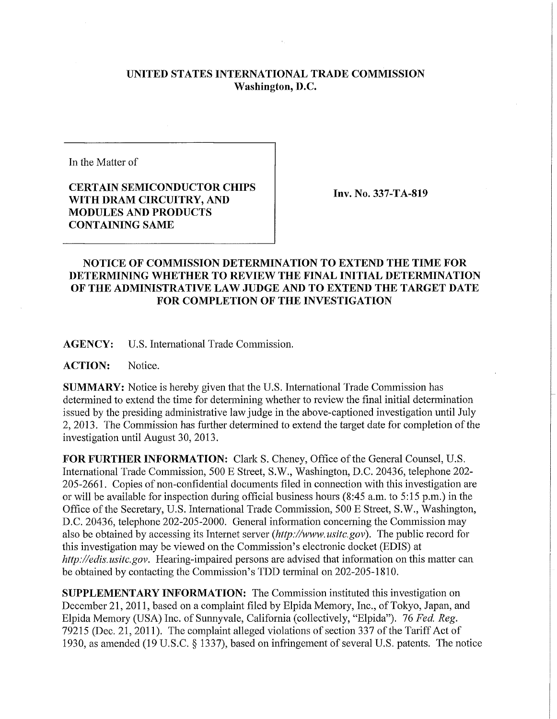## **UNITED STATES INTERNATIONAL TRADE COMMISSION Washington, D.C.**

In the Matter of

## **CERTAIN SEMICONDUCTOR CHIPS WITH DRAM CIRCUITRY, AND MODULES AND PRODUCTS CONTAINING SAME**

**Inv. No. 337-TA-819** 

## **NOTICE OF COMMISSION DETERMINATION TO EXTEND THE TIME FOR DETERMINING WHETHER TO REVIEW THE FINAL INITIAL DETERMINATION OF THE ADMINISTRATIVE LAW JUDGE AND TO EXTEND THE TARGET DATE FOR COMPLETION OF THE INVESTIGATION**

**AGENCY:** U.S. International Trade Commission.

**ACTION:** Notice.

**SUMMARY:** Notice is hereby given that the U.S. International Trade Commission has determined to extend the time for determining whether to review the final initial determination issued by the presiding administrative law judge in the above-captioned investigation until July 2, 2013. The Commission has further determined to extend the target date for completion of the investigation until August 30, 2013.

FOR FURTHER INFORMATION: Clark S. Cheney, Office of the General Counsel, U.S. International Trade Commission, 500 E Street, S.W., Washington, D.C. 20436, telephone 202- 205-2661. Copies of non-confidential documents filed in connection with this investigation are or will be available for inspection during official business hours (8:45 a.m. to 5:15 p.m.) in the Office of the Secretary, U.S. International Trade Commission, 500 E Street, S.W., Washington, D.C. 20436, telephone 202-205-2000. General information concerning the Commission may also be obtained by accessing its Internet server *(http://www. usitc.gov).* The public record for this investigation may be viewed on the Commission's electronic docket (EDIS) at *http://edis.usitc.gov.* Hearing-impaired persons are advised that information on this matter can be obtained by contacting the Commission's TDD terminal on 202-205-1810.

**SUPPLEMENTARY INFORMATION:** The Commission instituted this investigation on December 21, 2011, based on a complaint filed by Elpida Memory, Inc., of Tokyo, Japan, and Elpida Memory (USA) Inc. of Sunnyvale, California (collectively, "Elpida"). 76 *Fed. Reg.*  79215 (Dec. 21, 2011). The complaint alleged violations of section 337 of the Tariff Act of 1930, as amended (19 U.S.C. § 1337), based on infringement of several U.S. patents. The notice